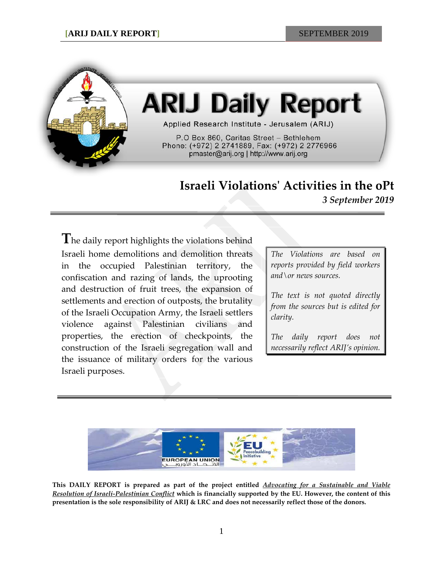

## **ARIJ Daily Report**

Applied Research Institute - Jerusalem (ARIJ)

P.O Box 860, Caritas Street - Bethlehem Phone: (+972) 2 2741889, Fax: (+972) 2 2776966 pmaster@arij.org | http://www.arij.org

## **Israeli Violations' Activities in the oPt**

*3 September 2019*

**T**he daily report highlights the violations behind Israeli home demolitions and demolition threats in the occupied Palestinian territory, the confiscation and razing of lands, the uprooting and destruction of fruit trees, the expansion of settlements and erection of outposts, the brutality of the Israeli Occupation Army, the Israeli settlers violence against Palestinian civilians and properties, the erection of checkpoints, the construction of the Israeli segregation wall and the issuance of military orders for the various Israeli purposes.

*The Violations are based on reports provided by field workers and\or news sources.*

*The text is not quoted directly from the sources but is edited for clarity.*

*The daily report does not necessarily reflect ARIJ's opinion.*



**This DAILY REPORT is prepared as part of the project entitled** *Advocating for a Sustainable and Viable Resolution of Israeli-Palestinian Conflict* **which is financially supported by the EU. However, the content of this presentation is the sole responsibility of ARIJ & LRC and does not necessarily reflect those of the donors.**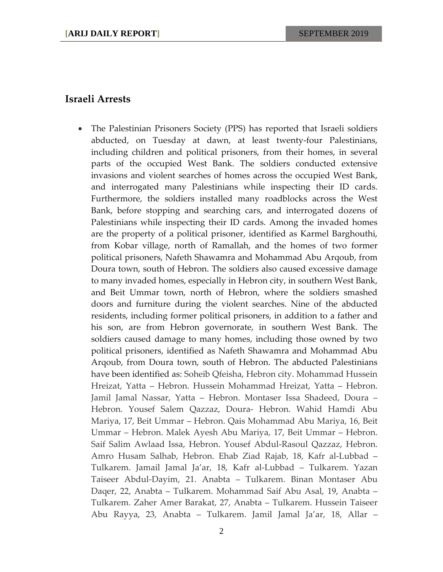## **Israeli Arrests**

• The Palestinian Prisoners Society (PPS) has reported that Israeli soldiers abducted, on Tuesday at dawn, at least twenty-four Palestinians, including children and political prisoners, from their homes, in several parts of the occupied West Bank. The soldiers conducted extensive invasions and violent searches of homes across the occupied West Bank, and interrogated many Palestinians while inspecting their ID cards. Furthermore, the soldiers installed many roadblocks across the West Bank, before stopping and searching cars, and interrogated dozens of Palestinians while inspecting their ID cards. Among the invaded homes are the property of a political prisoner, identified as Karmel Barghouthi, from Kobar village, north of Ramallah, and the homes of two former political prisoners, Nafeth Shawamra and Mohammad Abu Arqoub, from Doura town, south of Hebron. The soldiers also caused excessive damage to many invaded homes, especially in Hebron city, in southern West Bank, and Beit Ummar town, north of Hebron, where the soldiers smashed doors and furniture during the violent searches. Nine of the abducted residents, including former political prisoners, in addition to a father and his son, are from Hebron governorate, in southern West Bank. The soldiers caused damage to many homes, including those owned by two political prisoners, identified as Nafeth Shawamra and Mohammad Abu Arqoub, from Doura town, south of Hebron. The abducted Palestinians have been identified as: Soheib Qfeisha, Hebron city. Mohammad Hussein Hreizat, Yatta – Hebron. Hussein Mohammad Hreizat, Yatta – Hebron. Jamil Jamal Nassar, Yatta – Hebron. Montaser Issa Shadeed, Doura – Hebron. Yousef Salem Qazzaz, Doura- Hebron. Wahid Hamdi Abu Mariya, 17, Beit Ummar – Hebron. Qais Mohammad Abu Mariya, 16, Beit Ummar – Hebron. Malek Ayesh Abu Mariya, 17, Beit Ummar – Hebron. Saif Salim Awlaad Issa, Hebron. Yousef Abdul-Rasoul Qazzaz, Hebron. Amro Husam Salhab, Hebron. Ehab Ziad Rajab, 18, Kafr al-Lubbad – Tulkarem. Jamail Jamal Ja'ar, 18, Kafr al-Lubbad – Tulkarem. Yazan Taiseer Abdul-Dayim, 21. Anabta – Tulkarem. Binan Montaser Abu Daqer, 22, Anabta – Tulkarem. Mohammad Saif Abu Asal, 19, Anabta – Tulkarem. Zaher Amer Barakat, 27, Anabta – Tulkarem. Hussein Taiseer Abu Rayya, 23, Anabta – Tulkarem. Jamil Jamal Ja'ar, 18, Allar –